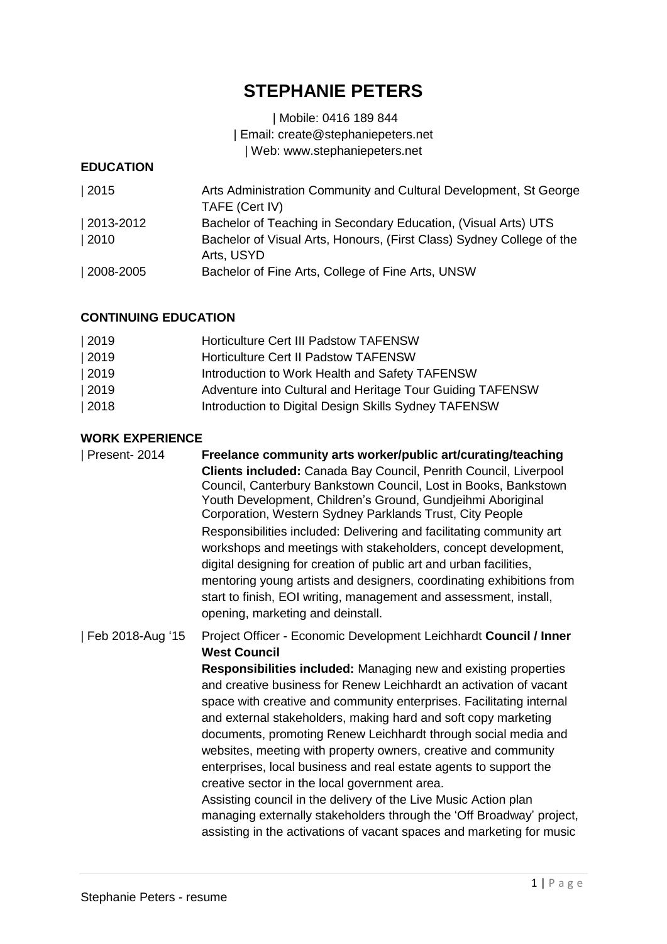# **STEPHANIE PETERS**

## | Mobile: 0416 189 844 | Email: [create@stephaniepeters.net](mailto:create@stephaniepeters.net) | Web: www.stephaniepeters.net

#### **EDUCATION**

| Arts Administration Community and Cultural Development, St George<br>TAFE (Cert IV) |
|-------------------------------------------------------------------------------------|
| Bachelor of Teaching in Secondary Education, (Visual Arts) UTS                      |
| Bachelor of Visual Arts, Honours, (First Class) Sydney College of the               |
| Arts, USYD                                                                          |
| Bachelor of Fine Arts, College of Fine Arts, UNSW                                   |
|                                                                                     |

# **CONTINUING EDUCATION**

| 2019 | Horticulture Cert III Padstow TAFENSW                     |
|------|-----------------------------------------------------------|
| 2019 | <b>Horticulture Cert II Padstow TAFENSW</b>               |
| 2019 | Introduction to Work Health and Safety TAFENSW            |
| 2019 | Adventure into Cultural and Heritage Tour Guiding TAFENSW |
| 2018 | Introduction to Digital Design Skills Sydney TAFENSW      |
|      |                                                           |

## **WORK EXPERIENCE**

| Present-2014     | Freelance community arts worker/public art/curating/teaching<br>Clients included: Canada Bay Council, Penrith Council, Liverpool<br>Council, Canterbury Bankstown Council, Lost in Books, Bankstown<br>Youth Development, Children's Ground, Gundjeihmi Aboriginal<br>Corporation, Western Sydney Parklands Trust, City People<br>Responsibilities included: Delivering and facilitating community art<br>workshops and meetings with stakeholders, concept development,<br>digital designing for creation of public art and urban facilities,<br>mentoring young artists and designers, coordinating exhibitions from<br>start to finish, EOI writing, management and assessment, install,<br>opening, marketing and deinstall.                                                                                                                          |
|------------------|-----------------------------------------------------------------------------------------------------------------------------------------------------------------------------------------------------------------------------------------------------------------------------------------------------------------------------------------------------------------------------------------------------------------------------------------------------------------------------------------------------------------------------------------------------------------------------------------------------------------------------------------------------------------------------------------------------------------------------------------------------------------------------------------------------------------------------------------------------------|
| Feb 2018-Aug '15 | Project Officer - Economic Development Leichhardt Council / Inner<br><b>West Council</b><br>Responsibilities included: Managing new and existing properties<br>and creative business for Renew Leichhardt an activation of vacant<br>space with creative and community enterprises. Facilitating internal<br>and external stakeholders, making hard and soft copy marketing<br>documents, promoting Renew Leichhardt through social media and<br>websites, meeting with property owners, creative and community<br>enterprises, local business and real estate agents to support the<br>creative sector in the local government area.<br>Assisting council in the delivery of the Live Music Action plan<br>managing externally stakeholders through the 'Off Broadway' project,<br>assisting in the activations of vacant spaces and marketing for music |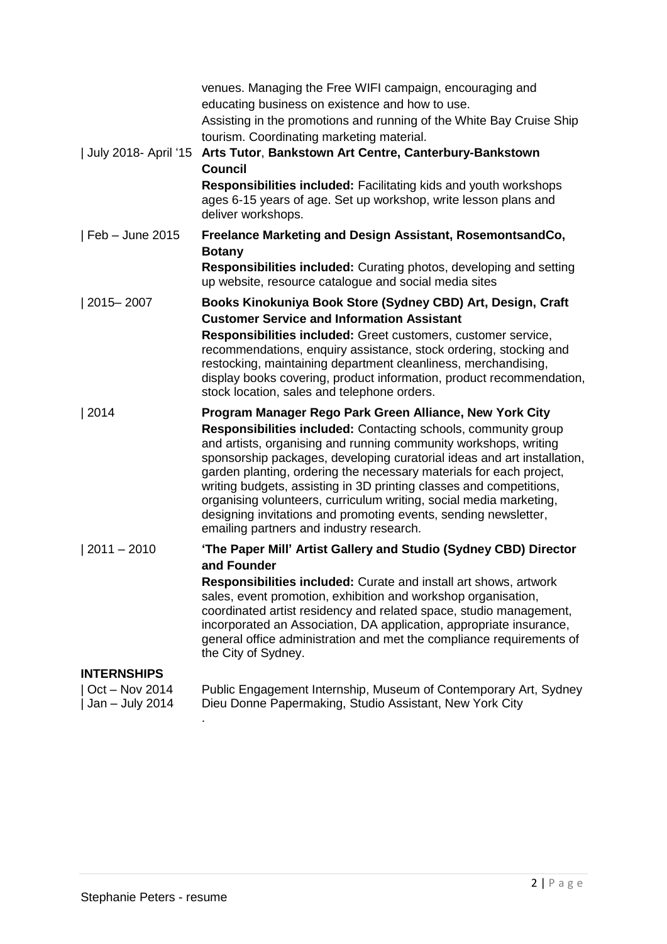| July 2018- April '15                | venues. Managing the Free WIFI campaign, encouraging and<br>educating business on existence and how to use.<br>Assisting in the promotions and running of the White Bay Cruise Ship<br>tourism. Coordinating marketing material.<br>Arts Tutor, Bankstown Art Centre, Canterbury-Bankstown<br><b>Council</b><br><b>Responsibilities included: Facilitating kids and youth workshops</b><br>ages 6-15 years of age. Set up workshop, write lesson plans and<br>deliver workshops.                                                                                                                            |
|-------------------------------------|-------------------------------------------------------------------------------------------------------------------------------------------------------------------------------------------------------------------------------------------------------------------------------------------------------------------------------------------------------------------------------------------------------------------------------------------------------------------------------------------------------------------------------------------------------------------------------------------------------------|
| Feb - June 2015                     | Freelance Marketing and Design Assistant, RosemontsandCo,<br><b>Botany</b><br><b>Responsibilities included:</b> Curating photos, developing and setting                                                                                                                                                                                                                                                                                                                                                                                                                                                     |
|                                     | up website, resource catalogue and social media sites                                                                                                                                                                                                                                                                                                                                                                                                                                                                                                                                                       |
| $ 2015 - 2007$                      | Books Kinokuniya Book Store (Sydney CBD) Art, Design, Craft<br><b>Customer Service and Information Assistant</b><br>Responsibilities included: Greet customers, customer service,<br>recommendations, enquiry assistance, stock ordering, stocking and<br>restocking, maintaining department cleanliness, merchandising,<br>display books covering, product information, product recommendation,<br>stock location, sales and telephone orders.                                                                                                                                                             |
| 2014                                | Program Manager Rego Park Green Alliance, New York City<br>Responsibilities included: Contacting schools, community group<br>and artists, organising and running community workshops, writing<br>sponsorship packages, developing curatorial ideas and art installation,<br>garden planting, ordering the necessary materials for each project,<br>writing budgets, assisting in 3D printing classes and competitions,<br>organising volunteers, curriculum writing, social media marketing,<br>designing invitations and promoting events, sending newsletter,<br>emailing partners and industry research. |
| $ 2011 - 2010$                      | 'The Paper Mill' Artist Gallery and Studio (Sydney CBD) Director<br>and Founder<br>Responsibilities included: Curate and install art shows, artwork<br>sales, event promotion, exhibition and workshop organisation,<br>coordinated artist residency and related space, studio management,<br>incorporated an Association, DA application, appropriate insurance,<br>general office administration and met the compliance requirements of<br>the City of Sydney.                                                                                                                                            |
| <b>INTERNSHIPS</b>                  |                                                                                                                                                                                                                                                                                                                                                                                                                                                                                                                                                                                                             |
| Oct - Nov 2014<br>Jan $-$ July 2014 | Public Engagement Internship, Museum of Contemporary Art, Sydney<br>Dieu Donne Papermaking, Studio Assistant, New York City                                                                                                                                                                                                                                                                                                                                                                                                                                                                                 |

.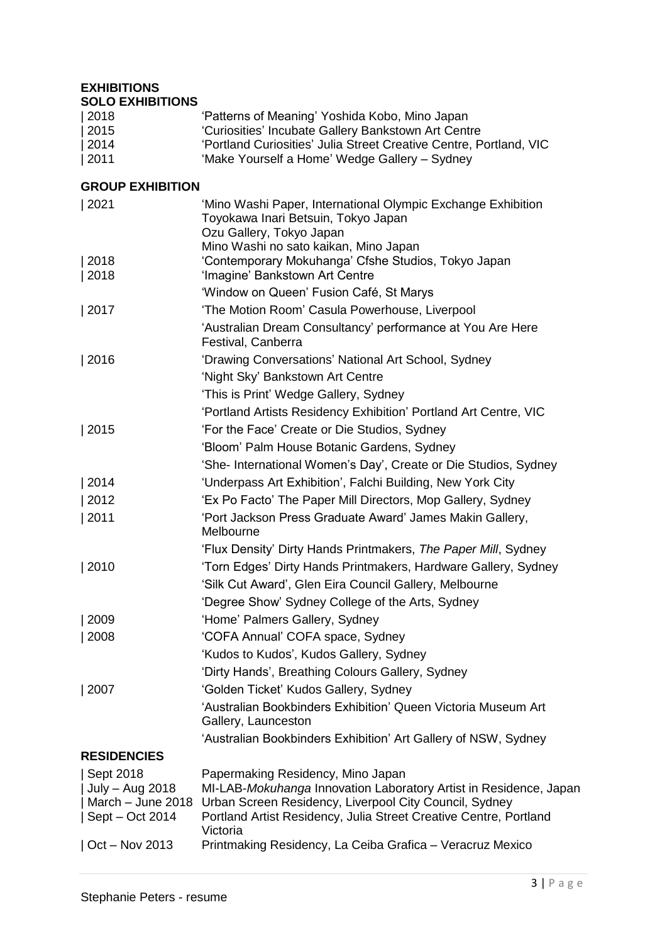#### **EXHIBITIONS SOLO EXHIBITIONS**

| 2018 | 'Patterns of Meaning' Yoshida Kobo, Mino Japan                     |
|------|--------------------------------------------------------------------|
| 2015 | 'Curiosities' Incubate Gallery Bankstown Art Centre                |
| 2014 | 'Portland Curiosities' Julia Street Creative Centre, Portland, VIC |
| 2011 | 'Make Yourself a Home' Wedge Gallery - Sydney                      |

#### **GROUP EXHIBITION**

| 2021                                 | 'Mino Washi Paper, International Olympic Exchange Exhibition<br>Toyokawa Inari Betsuin, Tokyo Japan<br>Ozu Gallery, Tokyo Japan |
|--------------------------------------|---------------------------------------------------------------------------------------------------------------------------------|
| 2018                                 | Mino Washi no sato kaikan, Mino Japan<br>'Contemporary Mokuhanga' Cfshe Studios, Tokyo Japan                                    |
| 2018                                 | 'Imagine' Bankstown Art Centre                                                                                                  |
|                                      | 'Window on Queen' Fusion Café, St Marys                                                                                         |
| 2017                                 | 'The Motion Room' Casula Powerhouse, Liverpool                                                                                  |
|                                      | 'Australian Dream Consultancy' performance at You Are Here<br>Festival, Canberra                                                |
| 2016                                 | 'Drawing Conversations' National Art School, Sydney                                                                             |
|                                      | 'Night Sky' Bankstown Art Centre                                                                                                |
|                                      | 'This is Print' Wedge Gallery, Sydney                                                                                           |
|                                      | 'Portland Artists Residency Exhibition' Portland Art Centre, VIC                                                                |
| 2015                                 | 'For the Face' Create or Die Studios, Sydney                                                                                    |
|                                      | 'Bloom' Palm House Botanic Gardens, Sydney                                                                                      |
|                                      | 'She- International Women's Day', Create or Die Studios, Sydney                                                                 |
| 2014                                 | 'Underpass Art Exhibition', Falchi Building, New York City                                                                      |
| 2012                                 | 'Ex Po Facto' The Paper Mill Directors, Mop Gallery, Sydney                                                                     |
| 2011                                 | 'Port Jackson Press Graduate Award' James Makin Gallery,<br>Melbourne                                                           |
|                                      | 'Flux Density' Dirty Hands Printmakers, The Paper Mill, Sydney                                                                  |
| 2010                                 | 'Torn Edges' Dirty Hands Printmakers, Hardware Gallery, Sydney                                                                  |
|                                      | 'Silk Cut Award', Glen Eira Council Gallery, Melbourne                                                                          |
|                                      | 'Degree Show' Sydney College of the Arts, Sydney                                                                                |
| 2009                                 | 'Home' Palmers Gallery, Sydney                                                                                                  |
| 2008                                 | 'COFA Annual' COFA space, Sydney                                                                                                |
|                                      | 'Kudos to Kudos', Kudos Gallery, Sydney                                                                                         |
|                                      | 'Dirty Hands', Breathing Colours Gallery, Sydney                                                                                |
| 2007                                 | 'Golden Ticket' Kudos Gallery, Sydney                                                                                           |
|                                      | 'Australian Bookbinders Exhibition' Queen Victoria Museum Art<br>Gallery, Launceston                                            |
|                                      | 'Australian Bookbinders Exhibition' Art Gallery of NSW, Sydney                                                                  |
| <b>RESIDENCIES</b>                   |                                                                                                                                 |
| Sept 2018                            | Papermaking Residency, Mino Japan                                                                                               |
| July - Aug 2018                      | MI-LAB-Mokuhanga Innovation Laboratory Artist in Residence, Japan                                                               |
| March - June 2018<br>Sept - Oct 2014 | Urban Screen Residency, Liverpool City Council, Sydney<br>Portland Artist Residency, Julia Street Creative Centre, Portland     |
|                                      | Victoria                                                                                                                        |
| $\vert$ Oct – Nov 2013               | Printmaking Residency, La Ceiba Grafica - Veracruz Mexico                                                                       |